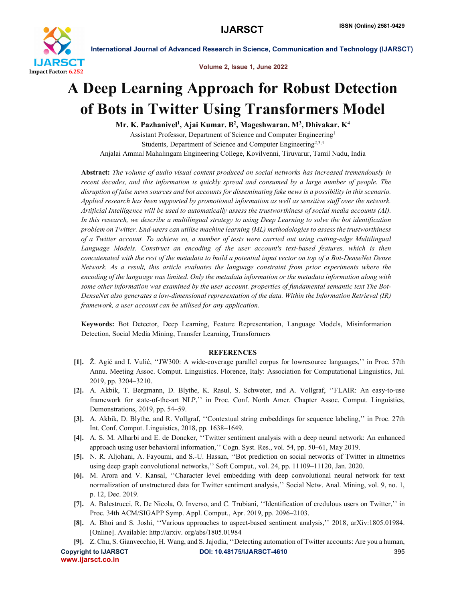

International Journal of Advanced Research in Science, Communication and Technology (IJARSCT)

Volume 2, Issue 1, June 2022

# A Deep Learning Approach for Robust Detection of Bots in Twitter Using Transformers Model

Mr. K. Pazhanivel<sup>1</sup>, Ajai Kumar. B<sup>2</sup>, Mageshwaran. M<sup>3</sup>, Dhivakar. K<sup>4</sup>

Assistant Professor, Department of Science and Computer Engineering1 Students, Department of Science and Computer Engineering<sup>2,3,4</sup> Anjalai Ammal Mahalingam Engineering College, Kovilvenni, Tiruvarur, Tamil Nadu, India

Abstract: *The volume of audio visual content produced on social networks has increased tremendously in recent decades, and this information is quickly spread and consumed by a large number of people. The disruption of false news sources and bot accounts for disseminating fake news is a possibility in this scenario. Applied research has been supported by promotional information as well as sensitive stuff over the network. Artificial Intelligence will be used to automatically assess the trustworthiness of social media accounts (AI). In this research, we describe a multilingual strategy to using Deep Learning to solve the bot identification problem on Twitter. End-users can utilise machine learning (ML) methodologies to assess the trustworthiness of a Twitter account. To achieve so, a number of tests were carried out using cutting-edge Multilingual Language Models. Construct an encoding of the user account's text-based features, which is then concatenated with the rest of the metadata to build a potential input vector on top of a Bot-DenseNet Dense Network. As a result, this article evaluates the language constraint from prior experiments where the encoding of the language was limited. Only the metadata information or the metadata information along with some other information was examined by the user account. properties of fundamental semantic text The Bot-DenseNet also generates a low-dimensional representation of the data. Within the Information Retrieval (IR) framework, a user account can be utilised for any application.*

Keywords: Bot Detector, Deep Learning, Feature Representation, Language Models, Misinformation Detection, Social Media Mining, Transfer Learning, Transformers

### **REFERENCES**

- [1]. Ž. Agić and I. Vulić, ''JW300: A wide-coverage parallel corpus for lowresource languages,'' in Proc. 57th Annu. Meeting Assoc. Comput. Linguistics. Florence, Italy: Association for Computational Linguistics, Jul. 2019, pp. 3204–3210.
- [2]. A. Akbik, T. Bergmann, D. Blythe, K. Rasul, S. Schweter, and A. Vollgraf, ''FLAIR: An easy-to-use framework for state-of-the-art NLP,'' in Proc. Conf. North Amer. Chapter Assoc. Comput. Linguistics, Demonstrations, 2019, pp. 54–59.
- [3]. A. Akbik, D. Blythe, and R. Vollgraf, ''Contextual string embeddings for sequence labeling,'' in Proc. 27th Int. Conf. Comput. Linguistics, 2018, pp. 1638–1649.
- [4]. A. S. M. Alharbi and E. de Doncker, ''Twitter sentiment analysis with a deep neural network: An enhanced approach using user behavioral information,'' Cogn. Syst. Res., vol. 54, pp. 50–61, May 2019.
- [5]. N. R. Aljohani, A. Fayoumi, and S.-U. Hassan, ''Bot prediction on social networks of Twitter in altmetrics using deep graph convolutional networks,'' Soft Comput., vol. 24, pp. 11109–11120, Jan. 2020.
- [6]. M. Arora and V. Kansal, ''Character level embedding with deep convolutional neural network for text normalization of unstructured data for Twitter sentiment analysis,'' Social Netw. Anal. Mining, vol. 9, no. 1, p. 12, Dec. 2019.
- [7]. A. Balestrucci, R. De Nicola, O. Inverso, and C. Trubiani, ''Identification of credulous users on Twitter,'' in Proc. 34th ACM/SIGAPP Symp. Appl. Comput., Apr. 2019, pp. 2096–2103.
- [8]. A. Bhoi and S. Joshi, ''Various approaches to aspect-based sentiment analysis,'' 2018, arXiv:1805.01984. [Online]. Available: http://arxiv. org/abs/1805.01984
- [9]. Z. Chu, S. Gianvecchio, H. Wang, and S. Jajodia, ''Detecting automation of Twitter accounts: Are you a human,

www.ijarsct.co.in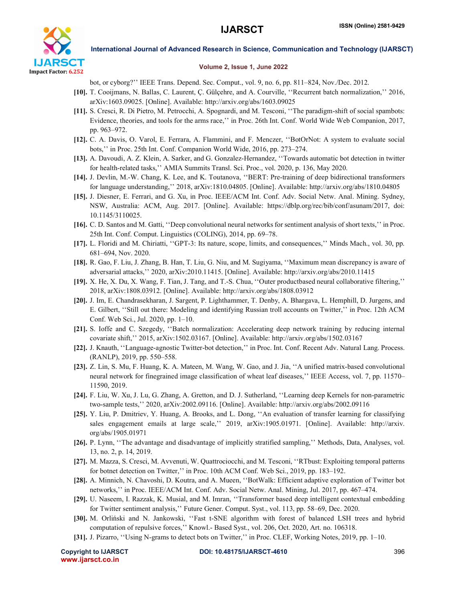

International Journal of Advanced Research in Science, Communication and Technology (IJARSCT)

## Volume 2, Issue 1, June 2022

bot, or cyborg?'' IEEE Trans. Depend. Sec. Comput., vol. 9, no. 6, pp. 811–824, Nov./Dec. 2012.

- [10]. T. Cooijmans, N. Ballas, C. Laurent, Ç. Gülçehre, and A. Courville, ''Recurrent batch normalization,'' 2016, arXiv:1603.09025. [Online]. Available: http://arxiv.org/abs/1603.09025
- [11]. S. Cresci, R. Di Pietro, M. Petrocchi, A. Spognardi, and M. Tesconi, ''The paradigm-shift of social spambots: Evidence, theories, and tools for the arms race,'' in Proc. 26th Int. Conf. World Wide Web Companion, 2017, pp. 963–972.
- [12]. C. A. Davis, O. Varol, E. Ferrara, A. Flammini, and F. Menczer, ''BotOrNot: A system to evaluate social bots,'' in Proc. 25th Int. Conf. Companion World Wide, 2016, pp. 273–274.
- [13]. A. Davoudi, A. Z. Klein, A. Sarker, and G. Gonzalez-Hernandez, ''Towards automatic bot detection in twitter for health-related tasks,'' AMIA Summits Transl. Sci. Proc., vol. 2020, p. 136, May 2020.
- [14]. J. Devlin, M.-W. Chang, K. Lee, and K. Toutanova, ''BERT: Pre-training of deep bidirectional transformers for language understanding,'' 2018, arXiv:1810.04805. [Online]. Available: http://arxiv.org/abs/1810.04805
- [15]. J. Diesner, E. Ferrari, and G. Xu, in Proc. IEEE/ACM Int. Conf. Adv. Social Netw. Anal. Mining. Sydney, NSW, Australia: ACM, Aug. 2017. [Online]. Available: https://dblp.org/rec/bib/conf/asunam/2017, doi: 10.1145/3110025.
- [16]. C. D. Santos and M. Gatti, ''Deep convolutional neural networks for sentiment analysis of short texts,'' in Proc. 25th Int. Conf. Comput. Linguistics (COLING), 2014, pp. 69–78.
- [17]. L. Floridi and M. Chiriatti, ''GPT-3: Its nature, scope, limits, and consequences,'' Minds Mach., vol. 30, pp. 681–694, Nov. 2020.
- [18]. R. Gao, F. Liu, J. Zhang, B. Han, T. Liu, G. Niu, and M. Sugiyama, ''Maximum mean discrepancy is aware of adversarial attacks,'' 2020, arXiv:2010.11415. [Online]. Available: http://arxiv.org/abs/2010.11415
- [19]. X. He, X. Du, X. Wang, F. Tian, J. Tang, and T.-S. Chua, ''Outer productbased neural collaborative filtering,'' 2018, arXiv:1808.03912. [Online]. Available: http://arxiv.org/abs/1808.03912
- [20]. J. Im, E. Chandrasekharan, J. Sargent, P. Lighthammer, T. Denby, A. Bhargava, L. Hemphill, D. Jurgens, and E. Gilbert, ''Still out there: Modeling and identifying Russian troll accounts on Twitter,'' in Proc. 12th ACM Conf. Web Sci., Jul. 2020, pp. 1–10.
- [21]. S. Ioffe and C. Szegedy, ''Batch normalization: Accelerating deep network training by reducing internal covariate shift,'' 2015, arXiv:1502.03167. [Online]. Available: http://arxiv.org/abs/1502.03167
- [22]. J. Knauth, ''Language-agnostic Twitter-bot detection,'' in Proc. Int. Conf. Recent Adv. Natural Lang. Process. (RANLP), 2019, pp. 550–558.
- [23]. Z. Lin, S. Mu, F. Huang, K. A. Mateen, M. Wang, W. Gao, and J. Jia, ''A unified matrix-based convolutional neural network for finegrained image classification of wheat leaf diseases,'' IEEE Access, vol. 7, pp. 11570– 11590, 2019.
- [24]. F. Liu, W. Xu, J. Lu, G. Zhang, A. Gretton, and D. J. Sutherland, ''Learning deep Kernels for non-parametric two-sample tests,'' 2020, arXiv:2002.09116. [Online]. Available: http://arxiv.org/abs/2002.09116
- [25]. Y. Liu, P. Dmitriev, Y. Huang, A. Brooks, and L. Dong, ''An evaluation of transfer learning for classifying sales engagement emails at large scale,'' 2019, arXiv:1905.01971. [Online]. Available: http://arxiv. org/abs/1905.01971
- [26]. P. Lynn, ''The advantage and disadvantage of implicitly stratified sampling,'' Methods, Data, Analyses, vol. 13, no. 2, p. 14, 2019.
- [27]. M. Mazza, S. Cresci, M. Avvenuti, W. Quattrociocchi, and M. Tesconi, ''RTbust: Exploiting temporal patterns for botnet detection on Twitter,'' in Proc. 10th ACM Conf. Web Sci., 2019, pp. 183–192.
- [28]. A. Minnich, N. Chavoshi, D. Koutra, and A. Mueen, ''BotWalk: Efficient adaptive exploration of Twitter bot networks,'' in Proc. IEEE/ACM Int. Conf. Adv. Social Netw. Anal. Mining, Jul. 2017, pp. 467–474.
- [29]. U. Naseem, I. Razzak, K. Musial, and M. Imran, ''Transformer based deep intelligent contextual embedding for Twitter sentiment analysis,'' Future Gener. Comput. Syst., vol. 113, pp. 58–69, Dec. 2020.
- [30]. M. Orliński and N. Jankowski, ''Fast t-SNE algorithm with forest of balanced LSH trees and hybrid computation of repulsive forces,'' Knowl.- Based Syst., vol. 206, Oct. 2020, Art. no. 106318.
- [31]. J. Pizarro, ''Using N-grams to detect bots on Twitter,'' in Proc. CLEF, Working Notes, 2019, pp. 1–10.